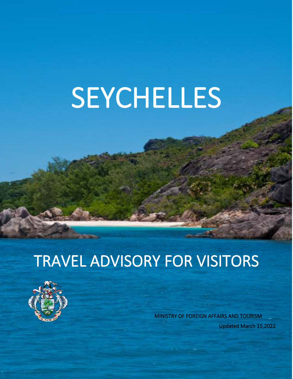# SEYCHELLES

# TRAVEL ADVISORY FOR VISITORS

l



 MINISTRY OF FOREIGN AFFAIRS AND TOURISM Updated March 15,2022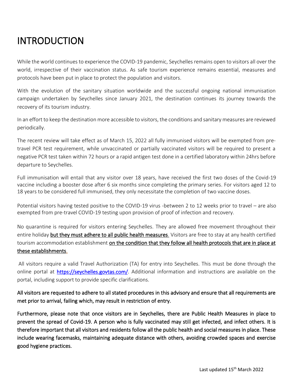# INTRODUCTION

While the world continues to experience the COVID-19 pandemic, Seychelles remains open to visitors all over the world, irrespective of their vaccination status. As safe tourism experience remains essential, measures and protocols have been put in place to protect the population and visitors.

With the evolution of the sanitary situation worldwide and the successful ongoing national immunisation campaign undertaken by Seychelles since January 2021, the destination continues its journey towards the recovery of its tourism industry.

In an effort to keep the destination more accessible to visitors, the conditions and sanitary measures are reviewed periodically.

The recent review will take effect as of March 15, 2022 all fully immunised visitors will be exempted from pretravel PCR test requirement, while unvaccinated or partially vaccinated visitors will be required to present a negative PCR test taken within 72 hours or a rapid antigen test done in a certified laboratory within 24hrs before departure to Seychelles.

Full immunisation will entail that any visitor over 18 years, have received the first two doses of the Covid-19 vaccine including a booster dose after 6 six months since completing the primary series. For visitors aged 12 to 18 years to be considered full immunised, they only necessitate the completion of two vaccine doses.

Potential visitors having tested positive to the COVID-19 virus -between 2 to 12 weeks prior to travel – are also exempted from pre-travel COVID-19 testing upon provision of proof of infection and recovery.

No quarantine is required for visitors entering Seychelles. They are allowed free movement throughout their entire holiday but they must adhere to all public health measures. Visitors are free to stay at any health certified tourism accommodation establishment on the condition that they follow all health protocols that are in place at these establishments.

 All visitors require a valid Travel Authorization (TA) for entry into Seychelles. This must be done through the online portal at [https://seychelles.govtas.com/.](https://seychelles.govtas.com/) Additional information and instructions are available on the portal, including support to provide specific clarifications.

#### All visitors are requested to adhere to all stated procedures in this advisory and ensure that all requirements are met prior to arrival, failing which, may result in restriction of entry.

Furthermore, please note that once visitors are in Seychelles, there are Public Health Measures in place to prevent the spread of Covid-19. A person who is fully vaccinated may still get infected, and infect others. It is therefore important that all visitors and residents follow all the public health and social measures in place. These include wearing facemasks, maintaining adequate distance with others, avoiding crowded spaces and exercise good hygiene practices.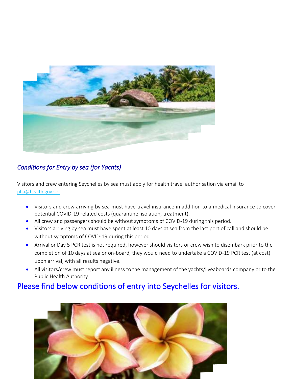

#### *Conditions for Entry by sea (for Yachts)*

Visitors and crew entering Seychelles by sea must apply for health travel authorisation via email to [pha@health.gov.sc](mailto:pha@health.gov.sc) .

- Visitors and crew arriving by sea must have travel insurance in addition to a medical insurance to cover potential COVID-19 related costs (quarantine, isolation, treatment).
- All crew and passengers should be without symptoms of COVID-19 during this period.
- Visitors arriving by sea must have spent at least 10 days at sea from the last port of call and should be without symptoms of COVID-19 during this period.
- Arrival or Day 5 PCR test is not required, however should visitors or crew wish to disembark prior to the completion of 10 days at sea or on-board, they would need to undertake a COVID-19 PCR test (at cost) upon arrival, with all results negative.
- All visitors/crew must report any illness to the management of the yachts/liveaboards company or to the Public Health Authority.

### Please find below conditions of entry into Seychelles for visitors.

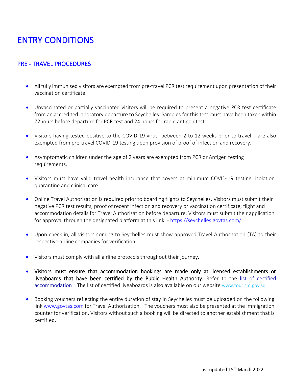## ENTRY CONDITIONS

#### PRE - TRAVEL PROCEDURES

- All fully immunised visitors are exempted from pre-travel PCR test requirement upon presentation of their vaccination certificate.
- Unvaccinated or partially vaccinated visitors will be required to present a negative PCR test certificate from an accredited laboratory departure to Seychelles. Samples for this test must have been taken within 72hours before departure for PCR test and 24 hours for rapid antigen test.
- Visitors having tested positive to the COVID-19 virus -between 2 to 12 weeks prior to travel are also exempted from pre-travel COVID-19 testing upon provision of proof of infection and recovery.
- Asymptomatic children under the age of 2 years are exempted from PCR or Antigen testing requirements.
- Visitors must have valid travel health insurance that covers at minimum COVID-19 testing, isolation, quarantine and clinical care.
- Online Travel Authorization is required prior to boarding flights to Seychelles. Visitors must submit their negative PCR test results, proof of recent infection and recovery or vaccination certificate, flight and accommodation details for Travel Authorization before departure. Visitors must submit their application for approval through the designated platform at this link: [- https://seychelles.govtas.com/.](https://seychelles.govtas.com/)
- Upon check in, all visitors coming to Seychelles must show approved Travel Authorization (TA) to their respective airline companies for verification.
- Visitors must comply with all airline protocols throughout their journey.
- Visitors must ensure that accommodation bookings are made only at licensed establishments or liveaboards that have been certified by the Public Health Authority. Refer to the list of certified [accommodation](http://tourism.gov.sc/list-of-all-covid-19-health-certified-tourism-businesses/) The list of certified liveaboards is also available on our website [www.tourism.gov.sc](http://www.tourism.gov.sc/)
- Booking vouchers reflecting the entire duration of stay in Seychelles must be uploaded on the following link [www.govtas.com](http://www.govtas.com/) for Travel Authorization. The vouchers must also be presented at the Immigration counter for verification. Visitors without such a booking will be directed to another establishment that is certified.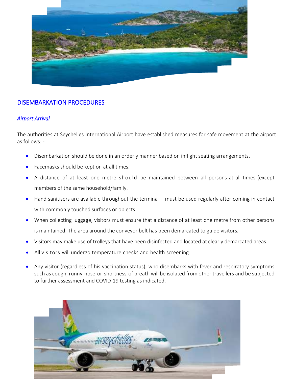

#### DISEMBARKATION PROCEDURES

#### *Airport Arrival*

The authorities at Seychelles International Airport have established measures for safe movement at the airport as follows: -

- Disembarkation should be done in an orderly manner based on inflight seating arrangements.
- Facemasks should be kept on at all times.
- A distance of at least one metre should be maintained between all persons at all times (except members of the same household/family.
- Hand sanitisers are available throughout the terminal must be used regularly after coming in contact with commonly touched surfaces or objects.
- When collecting luggage, visitors must ensure that a distance of at least one metre from other persons is maintained. The area around the conveyor belt has been demarcated to guide visitors.
- Visitors may make use of trolleys that have been disinfected and located at clearly demarcated areas.
- All visitors will undergo temperature checks and health screening.
- Any visitor (regardless of his vaccination status), who disembarks with fever and respiratory symptoms such as cough, runny nose or shortness of breath will be isolated from other travellers and be subjected to further assessment and COVID-19 testing as indicated.

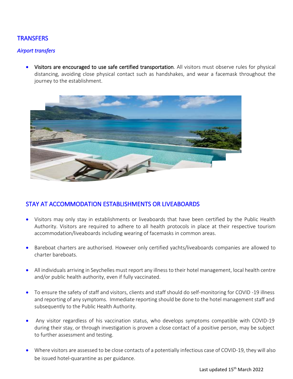#### **TRANSFERS**

#### *Airport transfers*

• Visitors are encouraged to use safe certified transportation. All visitors must observe rules for physical distancing, avoiding close physical contact such as handshakes, and wear a facemask throughout the journey to the establishment.



#### STAY AT ACCOMMODATION ESTABLISHMENTS OR LIVEABOARDS

- Visitors may only stay in establishments or liveaboards that have been certified by the Public Health Authority. Visitors are required to adhere to all health protocols in place at their respective tourism accommodation/liveaboards including wearing of facemasks in common areas.
- Bareboat charters are authorised. However only certified yachts/liveaboards companies are allowed to charter bareboats.
- All individuals arriving in Seychelles must report any illness to their hotel management, local health centre and/or public health authority, even if fully vaccinated.
- To ensure the safety of staff and visitors, clients and staff should do self-monitoring for COVID -19 illness and reporting of any symptoms. Immediate reporting should be done to the hotel management staff and subsequently to the Public Health Authority.
- Any visitor regardless of his vaccination status, who develops symptoms compatible with COVID-19 during their stay, or through investigation is proven a close contact of a positive person, may be subject to further assessment and testing.
- Where visitors are assessed to be close contacts of a potentially infectious case of COVID-19, they will also be issued hotel-quarantine as per guidance.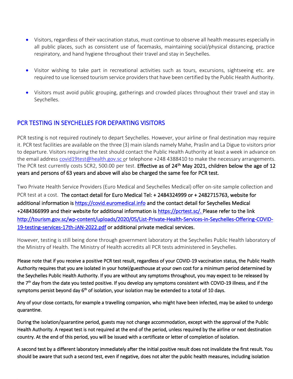- Visitors, regardless of their vaccination status, must continue to observe all health measures especially in all public places, such as consistent use of facemasks, maintaining social/physical distancing, practice respiratory, and hand hygiene throughout their travel and stay in Seychelles.
- Visitor wishing to take part in recreational activities such as tours, excursions, sightseeing etc. are required to use licensed tourism service providers that have been certified by the Public Health Authority.
- Visitors must avoid public grouping, gatherings and crowded places throughout their travel and stay in Seychelles.

#### PCR TESTING IN SEYCHELLES FOR DEPARTING VISITORS

PCR testing is not required routinely to depart Seychelles. However, your airline or final destination may require it. PCR test facilities are available on the three (3) main islands namely Mahe, Praslin and La Digue to visitors prior to departure. Visitors requiring the test should contact the Public Health Authority at least a week in advance on the email address [covid19test@health.gov.sc](mailto:pha@health.gov.sc) or telephone +248 4388410 to make the necessary arrangements. The PCR test currently costs SCR2, 500.00 per test. Effective as of 24<sup>th</sup> May 2021, children below the age of 12 years and persons of 63 years and above will also be charged the same fee for PCR test.

Two Private Health Service Providers (Euro Medical and Seychelles Medical) offer on-site sample collection and PCR test at a cost. The contact detail for Euro Medical Tel: + 2484324999 or + 2482715763, website for additional information is [https://covid.euromedical.info](https://covid.euromedical.info/) and the contact detail for Seychelles Medical +2484366999 and their website for additional information is [https://pcrtest.sc/.](https://pcrtest.sc/) Please refer to the link [http://tourism.gov.sc/wp-content/uploads/2020/05/List-Private-Health-Services-in-Seychelles-Offering-COVID-](http://tourism.gov.sc/wp-content/uploads/2020/05/List-Private-Health-Services-in-Seychelles-Offering-COVID-19-testing-services-17th-JAN-2022.pdf)[19-testing-services-17th-JAN-2022.pdf](http://tourism.gov.sc/wp-content/uploads/2020/05/List-Private-Health-Services-in-Seychelles-Offering-COVID-19-testing-services-17th-JAN-2022.pdf) or additional private medical services.

However, testing is still being done through government laboratory at the Seychelles Public Health laboratory of the Ministry of Health. The Ministry of Health accredits all PCR tests administered in Seychelles.

Please note that if you receive a positive PCR test result, regardless of your COVID-19 vaccination status, the Public Health Authority requires that you are isolated in your hotel/guesthouse at your own cost for a minimum period determined by the Seychelles Public Health Authority. If you are without any symptoms throughout, you may expect to be released by the 7<sup>th</sup> day from the date you tested positive. If you develop any symptoms consistent with COVID-19 illness, and if the symptoms persist beyond day 6<sup>th</sup> of isolation, your isolation may be extended to a total of 10 days.

Any of your close contacts, for example a travelling companion, who might have been infected, may be asked to undergo quarantine.

During the isolation/quarantine period, guests may not change accommodation, except with the approval of the Public Health Authority. A repeat test is not required at the end of the period, unless required by the airline or next destination country. At the end of this period, you will be issued with a certificate or letter of completion of isolation.

A second test by a different laboratory immediately after the initial positive result does not invalidate the first result. You should be aware that such a second test, even if negative, does not alter the public health measures, including isolation